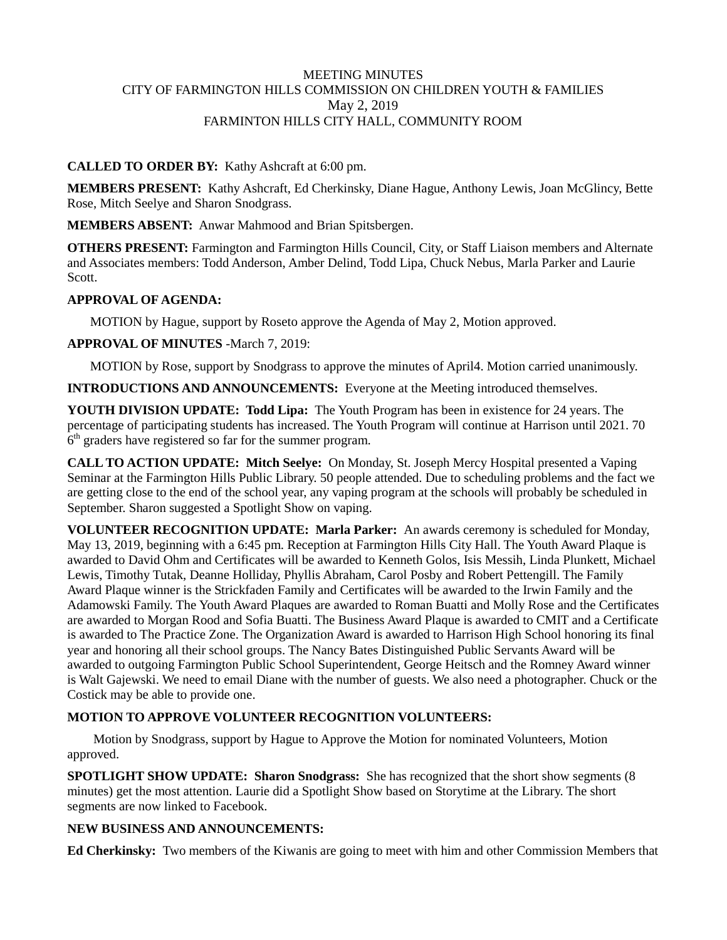### MEETING MINUTES CITY OF FARMINGTON HILLS COMMISSION ON CHILDREN YOUTH & FAMILIES May 2, 2019 FARMINTON HILLS CITY HALL, COMMUNITY ROOM

### **CALLED TO ORDER BY:** Kathy Ashcraft at 6:00 pm.

**MEMBERS PRESENT:** Kathy Ashcraft, Ed Cherkinsky, Diane Hague, Anthony Lewis, Joan McGlincy, Bette Rose, Mitch Seelye and Sharon Snodgrass.

**MEMBERS ABSENT:** Anwar Mahmood and Brian Spitsbergen.

**OTHERS PRESENT:** Farmington and Farmington Hills Council, City, or Staff Liaison members and Alternate and Associates members: Todd Anderson, Amber Delind, Todd Lipa, Chuck Nebus, Marla Parker and Laurie Scott.

### **APPROVAL OF AGENDA:**

MOTION by Hague, support by Roseto approve the Agenda of May 2, Motion approved.

### **APPROVAL OF MINUTES** -March 7, 2019:

MOTION by Rose, support by Snodgrass to approve the minutes of April4. Motion carried unanimously.

**INTRODUCTIONS AND ANNOUNCEMENTS:** Everyone at the Meeting introduced themselves.

**YOUTH DIVISION UPDATE: Todd Lipa:** The Youth Program has been in existence for 24 years. The percentage of participating students has increased. The Youth Program will continue at Harrison until 2021. 70  $6<sup>th</sup>$  graders have registered so far for the summer program.

**CALL TO ACTION UPDATE: Mitch Seelye:** On Monday, St. Joseph Mercy Hospital presented a Vaping Seminar at the Farmington Hills Public Library. 50 people attended. Due to scheduling problems and the fact we are getting close to the end of the school year, any vaping program at the schools will probably be scheduled in September. Sharon suggested a Spotlight Show on vaping.

**VOLUNTEER RECOGNITION UPDATE: Marla Parker:** An awards ceremony is scheduled for Monday, May 13, 2019, beginning with a 6:45 pm. Reception at Farmington Hills City Hall. The Youth Award Plaque is awarded to David Ohm and Certificates will be awarded to Kenneth Golos, Isis Messih, Linda Plunkett, Michael Lewis, Timothy Tutak, Deanne Holliday, Phyllis Abraham, Carol Posby and Robert Pettengill. The Family Award Plaque winner is the Strickfaden Family and Certificates will be awarded to the Irwin Family and the Adamowski Family. The Youth Award Plaques are awarded to Roman Buatti and Molly Rose and the Certificates are awarded to Morgan Rood and Sofia Buatti. The Business Award Plaque is awarded to CMIT and a Certificate is awarded to The Practice Zone. The Organization Award is awarded to Harrison High School honoring its final year and honoring all their school groups. The Nancy Bates Distinguished Public Servants Award will be awarded to outgoing Farmington Public School Superintendent, George Heitsch and the Romney Award winner is Walt Gajewski. We need to email Diane with the number of guests. We also need a photographer. Chuck or the Costick may be able to provide one.

# **MOTION TO APPROVE VOLUNTEER RECOGNITION VOLUNTEERS:**

Motion by Snodgrass, support by Hague to Approve the Motion for nominated Volunteers, Motion approved.

**SPOTLIGHT SHOW UPDATE: Sharon Snodgrass:** She has recognized that the short show segments (8 minutes) get the most attention. Laurie did a Spotlight Show based on Storytime at the Library. The short segments are now linked to Facebook.

# **NEW BUSINESS AND ANNOUNCEMENTS:**

**Ed Cherkinsky:** Two members of the Kiwanis are going to meet with him and other Commission Members that